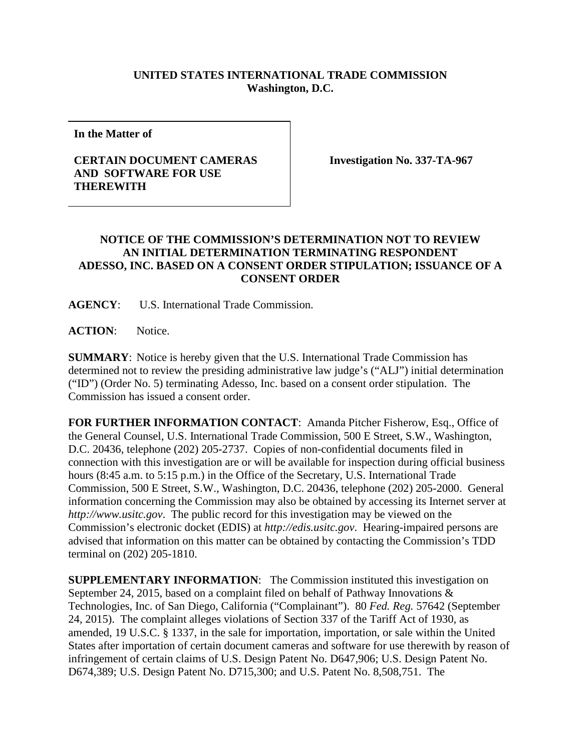## **UNITED STATES INTERNATIONAL TRADE COMMISSION Washington, D.C.**

**In the Matter of**

## **CERTAIN DOCUMENT CAMERAS AND SOFTWARE FOR USE THEREWITH**

**Investigation No. 337-TA-967**

## **NOTICE OF THE COMMISSION'S DETERMINATION NOT TO REVIEW AN INITIAL DETERMINATION TERMINATING RESPONDENT ADESSO, INC. BASED ON A CONSENT ORDER STIPULATION; ISSUANCE OF A CONSENT ORDER**

**AGENCY**: U.S. International Trade Commission.

**ACTION**: Notice.

**SUMMARY**: Notice is hereby given that the U.S. International Trade Commission has determined not to review the presiding administrative law judge's ("ALJ") initial determination ("ID") (Order No. 5) terminating Adesso, Inc. based on a consent order stipulation. The Commission has issued a consent order.

**FOR FURTHER INFORMATION CONTACT**: Amanda Pitcher Fisherow, Esq., Office of the General Counsel, U.S. International Trade Commission, 500 E Street, S.W., Washington, D.C. 20436, telephone (202) 205-2737. Copies of non-confidential documents filed in connection with this investigation are or will be available for inspection during official business hours (8:45 a.m. to 5:15 p.m.) in the Office of the Secretary, U.S. International Trade Commission, 500 E Street, S.W., Washington, D.C. 20436, telephone (202) 205-2000. General information concerning the Commission may also be obtained by accessing its Internet server at *http://www.usitc.gov*. The public record for this investigation may be viewed on the Commission's electronic docket (EDIS) at *http://edis.usitc.gov*. Hearing-impaired persons are advised that information on this matter can be obtained by contacting the Commission's TDD terminal on (202) 205-1810.

**SUPPLEMENTARY INFORMATION:** The Commission instituted this investigation on September 24, 2015, based on a complaint filed on behalf of Pathway Innovations & Technologies, Inc. of San Diego, California ("Complainant"). 80 *Fed. Reg.* 57642 (September 24, 2015). The complaint alleges violations of Section 337 of the Tariff Act of 1930, as amended, 19 U.S.C. § 1337, in the sale for importation, importation, or sale within the United States after importation of certain document cameras and software for use therewith by reason of infringement of certain claims of U.S. Design Patent No. D647,906; U.S. Design Patent No. D674,389; U.S. Design Patent No. D715,300; and U.S. Patent No. 8,508,751. The